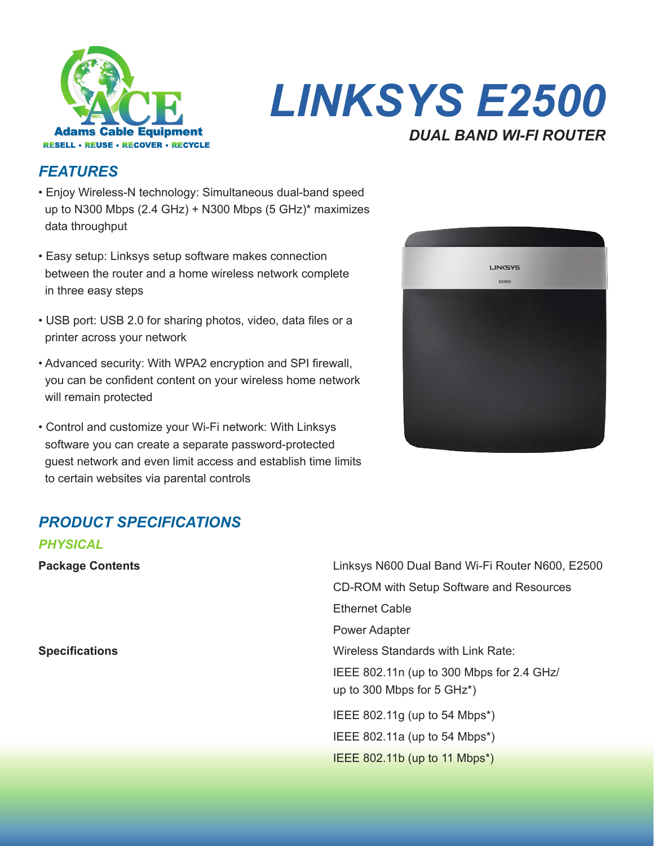

# *LINKSYS E2500 DUAL BAND WI-FI ROUTER*

## *FEATURES*

- Enjoy Wireless-N technology: Simultaneous dual-band speed up to N300 Mbps (2.4 GHz) + N300 Mbps (5 GHz)\* maximizes data throughput
- Easy setup: Linksys setup software makes connection between the router and a home wireless network complete in three easy steps
- USB port: USB 2.0 for sharing photos, video, data files or a printer across your network
- Advanced security: With WPA2 encryption and SPI firewall, you can be confident content on your wireless home network will remain protected
- Control and customize your Wi-Fi network: With Linksys software you can create a separate password-protected guest network and even limit access and establish time limits to certain websites via parental controls

# *PRODUCT SPECIFICATIONS*

| PHYSICAL                |                                                                                     |
|-------------------------|-------------------------------------------------------------------------------------|
| <b>Package Contents</b> | Linksys N600 Dual Band Wi-Fi Router N600, E2500                                     |
|                         | CD-ROM with Setup Software and Resources                                            |
|                         | <b>Ethernet Cable</b>                                                               |
|                         | <b>Power Adapter</b>                                                                |
| <b>Specifications</b>   | Wireless Standards with Link Rate:                                                  |
|                         | IEEE 802.11n (up to 300 Mbps for 2.4 GHz/<br>up to 300 Mbps for $5 \text{ GHz}^*$ ) |
|                         | IEEE 802.11g (up to 54 Mbps*)                                                       |
|                         | IEEE 802.11a (up to 54 Mbps*)                                                       |
|                         | IEEE 802.11b (up to 11 Mbps*)                                                       |
|                         |                                                                                     |

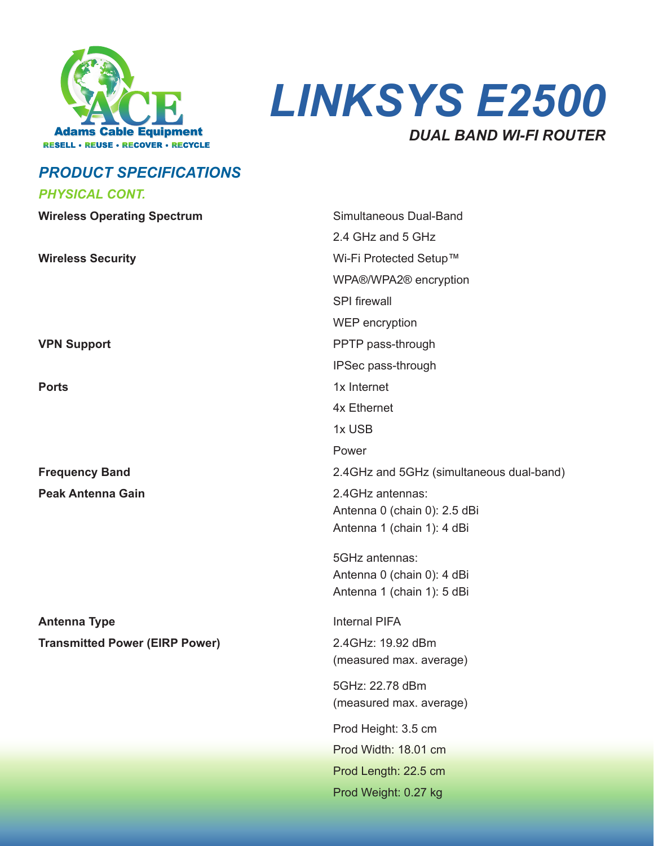



# *PRODUCT SPECIFICATIONS*

#### *PHYSICAL CONT.*

| Simultaneous Dual-Band                           |
|--------------------------------------------------|
| 2.4 GHz and 5 GHz                                |
| Wi-Fi Protected Setup™                           |
| WPA®/WPA2 <sup>®</sup> encryption                |
| <b>SPI</b> firewall                              |
| WEP encryption                                   |
| PPTP pass-through                                |
| IPSec pass-through                               |
| 1x Internet                                      |
| 4x Ethernet                                      |
| 1x USB                                           |
| Power                                            |
| 2.4GHz and 5GHz (simultaneous dual-band)         |
| 2.4GHz antennas:<br>Antenna 0 (chain 0): 2.5 dBi |
| Antenna 1 (chain 1): 4 dBi                       |
|                                                  |
| 5GHz antennas:                                   |
| Antenna 0 (chain 0): 4 dBi                       |
| Antenna 1 (chain 1): 5 dBi                       |
| <b>Internal PIFA</b>                             |
| 2.4GHz: 19.92 dBm                                |
| (measured max. average)                          |
| 5GHz: 22.78 dBm                                  |
| (measured max. average)                          |
| Prod Height: 3.5 cm                              |
| Prod Width: 18.01 cm                             |
| Prod Length: 22.5 cm                             |
|                                                  |